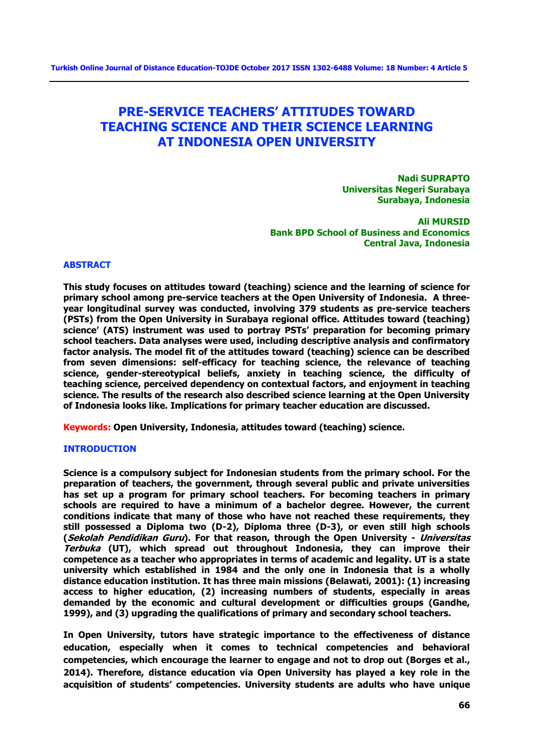# **PRE-SERVICE TEACHERS' ATTITUDES TOWARD TEACHING SCIENCE AND THEIR SCIENCE LEARNING AT INDONESIA OPEN UNIVERSITY**

**Nadi SUPRAPTO Universitas Negeri Surabaya Surabaya, Indonesia**

**Ali MURSID Bank BPD School of Business and Economics Central Java, Indonesia**

## **ABSTRACT**

**This study focuses on attitudes toward (teaching) science and the learning of science for primary school among pre-service teachers at the Open University of Indonesia. A threeyear longitudinal survey was conducted, involving 379 students as pre-service teachers (PSTs) from the Open University in Surabaya regional office. Attitudes toward (teaching) science' (ATS) instrument was used to portray PSTs' preparation for becoming primary school teachers. Data analyses were used, including descriptive analysis and confirmatory factor analysis. The model fit of the attitudes toward (teaching) science can be described from seven dimensions: self-efficacy for teaching science, the relevance of teaching science, gender-stereotypical beliefs, anxiety in teaching science, the difficulty of teaching science, perceived dependency on contextual factors, and enjoyment in teaching science. The results of the research also described science learning at the Open University of Indonesia looks like. Implications for primary teacher education are discussed.**

**Keywords: Open University, Indonesia, attitudes toward (teaching) science.**

## **INTRODUCTION**

**Science is a compulsory subject for Indonesian students from the primary school. For the preparation of teachers, the government, through several public and private universities has set up a program for primary school teachers. For becoming teachers in primary schools are required to have a minimum of a bachelor degree. However, the current conditions indicate that many of those who have not reached these requirements, they still possessed a Diploma two (D-2), Diploma three (D-3), or even still high schools (Sekolah Pendidikan Guru). For that reason, through the Open University - Universitas Terbuka (UT), which spread out throughout Indonesia, they can improve their competence as a teacher who appropriates in terms of academic and legality. UT is a state university which established in 1984 and the only one in Indonesia that is a wholly distance education institution. It has three main missions (Belawati, 2001): (1) increasing access to higher education, (2) increasing numbers of students, especially in areas demanded by the economic and cultural development or difficulties groups (Gandhe, 1999), and (3) upgrading the qualifications of primary and secondary school teachers.**

**In Open University, tutors have strategic importance to the effectiveness of distance education, especially when it comes to technical competencies and behavioral competencies, which encourage the learner to engage and not to drop out (Borges et al., 2014). Therefore, distance education via Open University has played a key role in the acquisition of students' competencies. University students are adults who have unique**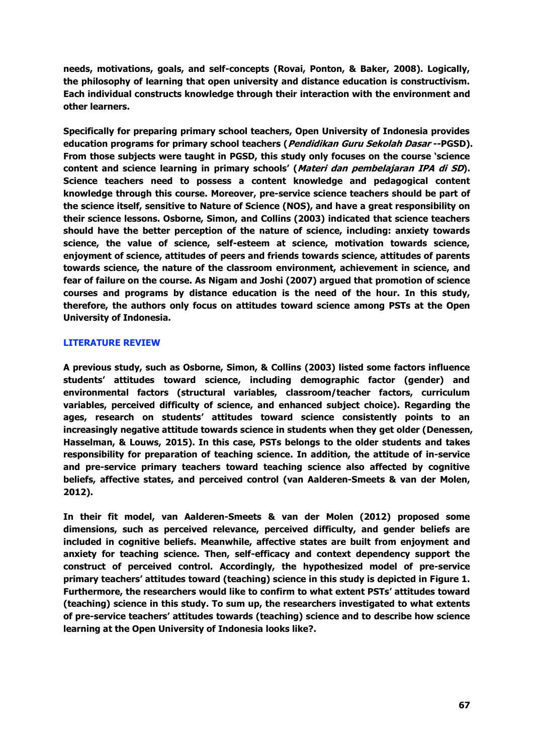**needs, motivations, goals, and self-concepts (Rovai, Ponton, & Baker, 2008). Logically, the philosophy of learning that open university and distance education is constructivism. Each individual constructs knowledge through their interaction with the environment and other learners.**

**Specifically for preparing primary school teachers, Open University of Indonesia provides education programs for primary school teachers (Pendidikan Guru Sekolah Dasar --PGSD). From those subjects were taught in PGSD, this study only focuses on the course 'science content and science learning in primary schools' (Materi dan pembelajaran IPA di SD). Science teachers need to possess a content knowledge and pedagogical content knowledge through this course. Moreover, pre-service science teachers should be part of the science itself, sensitive to Nature of Science (NOS), and have a great responsibility on their science lessons. Osborne, Simon, and Collins (2003) indicated that science teachers should have the better perception of the nature of science, including: anxiety towards science, the value of science, self-esteem at science, motivation towards science, enjoyment of science, attitudes of peers and friends towards science, attitudes of parents towards science, the nature of the classroom environment, achievement in science, and fear of failure on the course. As Nigam and Joshi (2007) argued that promotion of science courses and programs by distance education is the need of the hour. In this study, therefore, the authors only focus on attitudes toward science among PSTs at the Open University of Indonesia.**

## **LITERATURE REVIEW**

**A previous study, such as Osborne, Simon, & Collins (2003) listed some factors influence students' attitudes toward science, including demographic factor (gender) and environmental factors (structural variables, classroom/teacher factors, curriculum variables, perceived difficulty of science, and enhanced subject choice). Regarding the ages, research on students' attitudes toward science consistently points to an increasingly negative attitude towards science in students when they get older (Denessen, Hasselman, & Louws, 2015). In this case, PSTs belongs to the older students and takes responsibility for preparation of teaching science. In addition, the attitude of in-service and pre-service primary teachers toward teaching science also affected by cognitive beliefs, affective states, and perceived control (van Aalderen-Smeets & van der Molen, 2012).**

**In their fit model, van Aalderen-Smeets & van der Molen (2012) proposed some dimensions, such as perceived relevance, perceived difficulty, and gender beliefs are included in cognitive beliefs. Meanwhile, affective states are built from enjoyment and anxiety for teaching science. Then, self-efficacy and context dependency support the construct of perceived control. Accordingly, the hypothesized model of pre-service primary teachers' attitudes toward (teaching) science in this study is depicted in Figure 1. Furthermore, the researchers would like to confirm to what extent PSTs' attitudes toward (teaching) science in this study. To sum up, the researchers investigated to what extents of pre-service teachers' attitudes towards (teaching) science and to describe how science learning at the Open University of Indonesia looks like?.**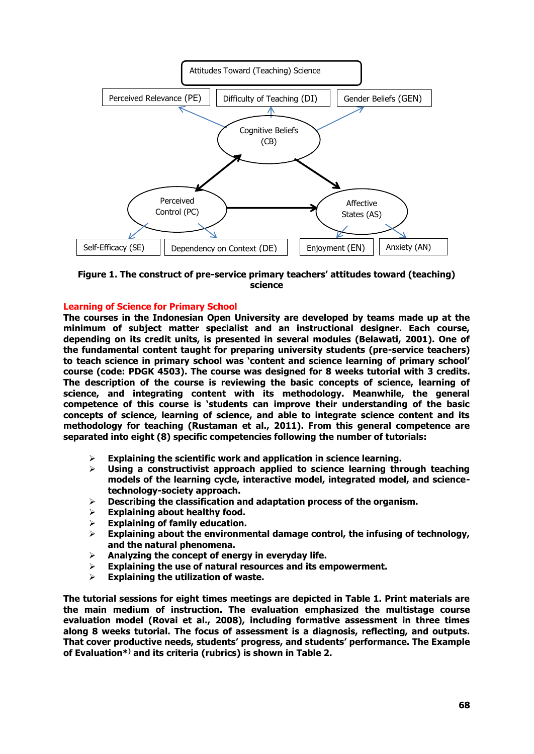

**Figure 1. The construct of pre-service primary teachers' attitudes toward (teaching) science** 

## **Learning of Science for Primary School**

**The courses in the Indonesian Open University are developed by teams made up at the minimum of subject matter specialist and an instructional designer. Each course, depending on its credit units, is presented in several modules (Belawati, 2001). One of the fundamental content taught for preparing university students (pre-service teachers) to teach science in primary school was 'content and science learning of primary school' course (code: PDGK 4503). The course was designed for 8 weeks tutorial with 3 credits. The description of the course is reviewing the basic concepts of science, learning of science, and integrating content with its methodology. Meanwhile, the general competence of this course is 'students can improve their understanding of the basic concepts of science, learning of science, and able to integrate science content and its methodology for teaching (Rustaman et al., 2011). From this general competence are separated into eight (8) specific competencies following the number of tutorials:**

- **Explaining the scientific work and application in science learning.**
- **Using a constructivist approach applied to science learning through teaching models of the learning cycle, interactive model, integrated model, and sciencetechnology-society approach.**
- **Describing the classification and adaptation process of the organism.**
- **Explaining about healthy food.**
- **Explaining of family education.**
- **Explaining about the environmental damage control, the infusing of technology, and the natural phenomena.**
- **Analyzing the concept of energy in everyday life.**
- **Explaining the use of natural resources and its empowerment.**
- **Explaining the utilization of waste.**

**The tutorial sessions for eight times meetings are depicted in Table 1. Print materials are the main medium of instruction. The evaluation emphasized the multistage course evaluation model (Rovai et al., 2008), including formative assessment in three times along 8 weeks tutorial. The focus of assessment is a diagnosis, reflecting, and outputs. That cover productive needs, students' progress, and students' performance. The Example of Evaluation\*) and its criteria (rubrics) is shown in Table 2.**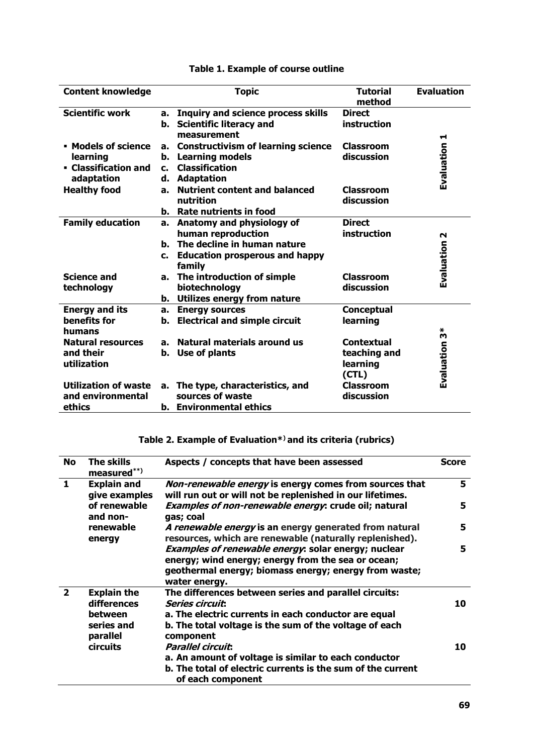| <b>Content knowledge</b>                                              |                                  | <b>Topic</b>                                                                                                                            | <b>Tutorial</b><br>method                             | <b>Evaluation</b> |
|-----------------------------------------------------------------------|----------------------------------|-----------------------------------------------------------------------------------------------------------------------------------------|-------------------------------------------------------|-------------------|
| <b>Scientific work</b>                                                | a.<br>b.                         | <b>Inquiry and science process skills</b><br><b>Scientific literacy and</b><br>measurement                                              | <b>Direct</b><br>instruction                          |                   |
| • Models of science<br>learning<br>• Classification and<br>adaptation | a.<br>b.<br>$\mathbf{c}$ .<br>d. | <b>Constructivism of learning science</b><br><b>Learning models</b><br><b>Classification</b><br><b>Adaptation</b>                       | <b>Classroom</b><br>discussion                        | Evaluation 1      |
| <b>Healthy food</b>                                                   | a.                               | <b>Nutrient content and balanced</b><br>nutrition<br><b>b.</b> Rate nutrients in food                                                   | <b>Classroom</b><br>discussion                        |                   |
| <b>Family education</b>                                               | c.                               | a. Anatomy and physiology of<br>human reproduction<br>b. The decline in human nature<br><b>Education prosperous and happy</b><br>family | <b>Direct</b><br>instruction                          | N<br>Evaluation   |
| <b>Science and</b><br>technology                                      | а.<br>b.                         | The introduction of simple<br>biotechnology<br>Utilizes energy from nature                                                              | Classroom<br>discussion                               |                   |
| <b>Energy and its</b><br>benefits for<br>humans                       | a.<br>b.                         | <b>Energy sources</b><br><b>Electrical and simple circuit</b>                                                                           | <b>Conceptual</b><br>learning                         | $\bf{v}^*$        |
| <b>Natural resources</b><br>and their<br>utilization                  | a.<br>b.                         | Natural materials around us<br>Use of plants                                                                                            | <b>Contextual</b><br>teaching and<br>learning<br>(CL) | Evaluation        |
| <b>Utilization of waste</b><br>and environmental<br>ethics            |                                  | a. The type, characteristics, and<br>sources of waste<br>b. Environmental ethics                                                        | <b>Classroom</b><br>discussion                        |                   |

## **Table 1. Example of course outline**

# **Table 2. Example of Evaluation\*) and its criteria (rubrics)**

| No             | The skills<br>measured**)                                              | Aspects / concepts that have been assessed                                                                                                                                                                     | Score |
|----------------|------------------------------------------------------------------------|----------------------------------------------------------------------------------------------------------------------------------------------------------------------------------------------------------------|-------|
| $\mathbf{1}$   | <b>Explain and</b><br>give examples                                    | Non-renewable energy is energy comes from sources that<br>will run out or will not be replenished in our lifetimes.                                                                                            | 5     |
|                | of renewable<br>and non-                                               | Examples of non-renewable energy: crude oil; natural<br>gas; coal                                                                                                                                              | 5     |
|                | renewable<br>energy                                                    | A renewable energy is an energy generated from natural<br>resources, which are renewable (naturally replenished).                                                                                              | 5.    |
|                |                                                                        | Examples of renewable energy: solar energy; nuclear<br>energy; wind energy; energy from the sea or ocean;<br>geothermal energy; biomass energy; energy from waste;<br>water energy.                            | 5     |
| $\overline{2}$ | <b>Explain the</b><br>differences<br>between<br>series and<br>parallel | The differences between series and parallel circuits:<br><b>Series circuit:</b><br>a. The electric currents in each conductor are equal<br>b. The total voltage is the sum of the voltage of each<br>component | 10    |
|                | <b>circuits</b>                                                        | <b>Parallel circuit:</b><br>a. An amount of voltage is similar to each conductor<br>b. The total of electric currents is the sum of the current<br>of each component                                           | 10    |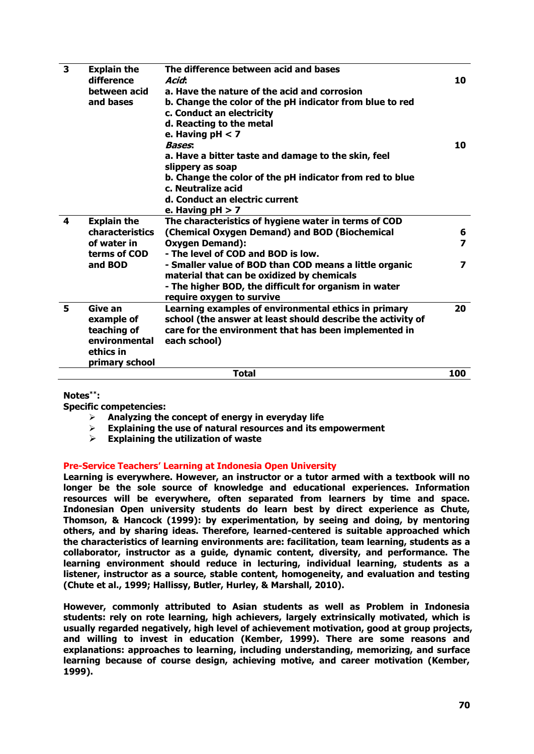| 3 | <b>Explain the</b><br>difference<br>between acid<br>and bases                          | The difference between acid and bases<br>Acid:<br>a. Have the nature of the acid and corrosion<br>b. Change the color of the pH indicator from blue to red<br>c. Conduct an electricity<br>d. Reacting to the metal<br>e. Having $pH < 7$<br><b>Bases:</b><br>a. Have a bitter taste and damage to the skin, feel<br>slippery as soap | 10<br>10                                                |
|---|----------------------------------------------------------------------------------------|---------------------------------------------------------------------------------------------------------------------------------------------------------------------------------------------------------------------------------------------------------------------------------------------------------------------------------------|---------------------------------------------------------|
|   |                                                                                        | b. Change the color of the pH indicator from red to blue<br>c. Neutralize acid<br>d. Conduct an electric current<br>e. Having $pH > 7$                                                                                                                                                                                                |                                                         |
| 4 | <b>Explain the</b><br><b>characteristics</b><br>of water in<br>terms of COD<br>and BOD | The characteristics of hygiene water in terms of COD<br>(Chemical Oxygen Demand) and BOD (Biochemical<br><b>Oxygen Demand):</b><br>- The level of COD and BOD is low.<br>- Smaller value of BOD than COD means a little organic<br>material that can be oxidized by chemicals                                                         | 6<br>$\overline{\mathbf{z}}$<br>$\overline{\mathbf{z}}$ |
|   |                                                                                        | - The higher BOD, the difficult for organism in water<br>require oxygen to survive                                                                                                                                                                                                                                                    |                                                         |
| 5 | Give an<br>example of<br>teaching of<br>environmental<br>ethics in<br>primary school   | Learning examples of environmental ethics in primary<br>school (the answer at least should describe the activity of<br>care for the environment that has been implemented in<br>each school)                                                                                                                                          | 20                                                      |
|   |                                                                                        | <b>Total</b>                                                                                                                                                                                                                                                                                                                          | 100                                                     |

**Notes\*\*:** 

**Specific competencies:** 

- **Analyzing the concept of energy in everyday life**
- **Explaining the use of natural resources and its empowerment**
- **Explaining the utilization of waste**

## **Pre-Service Teachers' Learning at Indonesia Open University**

**Learning is everywhere. However, an instructor or a tutor armed with a textbook will no longer be the sole source of knowledge and educational experiences. Information resources will be everywhere, often separated from learners by time and space. Indonesian Open university students do learn best by direct experience as Chute, Thomson, & Hancock (1999): by experimentation, by seeing and doing, by mentoring others, and by sharing ideas. Therefore, learned-centered is suitable approached which the characteristics of learning environments are: facilitation, team learning, students as a collaborator, instructor as a guide, dynamic content, diversity, and performance. The learning environment should reduce in lecturing, individual learning, students as a listener, instructor as a source, stable content, homogeneity, and evaluation and testing (Chute et al., 1999; Hallissy, Butler, Hurley, & Marshall, 2010).**

**However, commonly attributed to Asian students as well as Problem in Indonesia students: rely on rote learning, high achievers, largely extrinsically motivated, which is usually regarded negatively, high level of achievement motivation, good at group projects, and willing to invest in education (Kember, 1999). There are some reasons and explanations: approaches to learning, including understanding, memorizing, and surface learning because of course design, achieving motive, and career motivation (Kember, 1999).**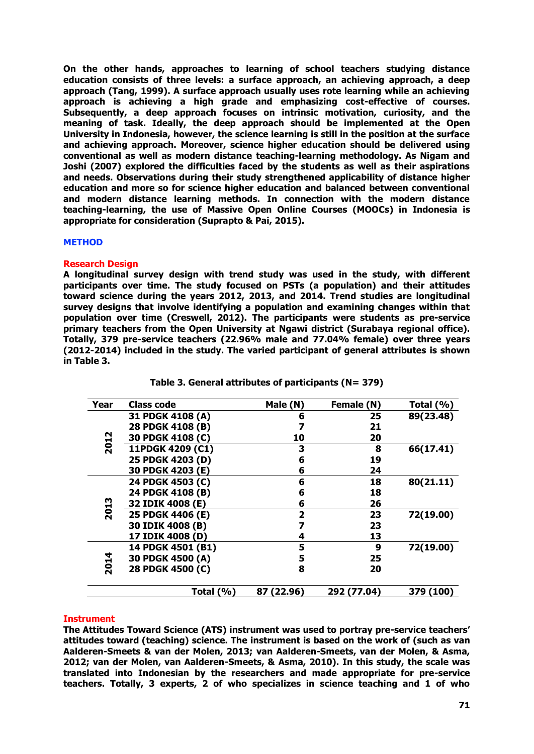**On the other hands, approaches to learning of school teachers studying distance education consists of three levels: a surface approach, an achieving approach, a deep approach (Tang, 1999). A surface approach usually uses rote learning while an achieving approach is achieving a high grade and emphasizing cost-effective of courses. Subsequently, a deep approach focuses on intrinsic motivation, curiosity, and the meaning of task. Ideally, the deep approach should be implemented at the Open University in Indonesia, however, the science learning is still in the position at the surface and achieving approach. Moreover, science higher education should be delivered using conventional as well as modern distance teaching-learning methodology. As Nigam and Joshi (2007) explored the difficulties faced by the students as well as their aspirations and needs. Observations during their study strengthened applicability of distance higher education and more so for science higher education and balanced between conventional and modern distance learning methods. In connection with the modern distance teaching-learning, the use of Massive Open Online Courses (MOOCs) in Indonesia is appropriate for consideration (Suprapto & Pai, 2015).**

## **METHOD**

## **Research Design**

**A longitudinal survey design with trend study was used in the study, with different participants over time. The study focused on PSTs (a population) and their attitudes toward science during the years 2012, 2013, and 2014. Trend studies are longitudinal survey designs that involve identifying a population and examining changes within that population over time (Creswell, 2012). The participants were students as pre-service primary teachers from the Open University at Ngawi district (Surabaya regional office). Totally, 379 pre-service teachers (22.96% male and 77.04% female) over three years (2012-2014) included in the study. The varied participant of general attributes is shown in Table 3.**

| Year | Class code        | Male (N)     | Female (N)  | Total $(\%)$ |
|------|-------------------|--------------|-------------|--------------|
|      | 31 PDGK 4108 (A)  | 6            | 25          | 89(23.48)    |
|      | 28 PDGK 4108 (B)  |              | 21          |              |
| 2012 | 30 PDGK 4108 (C)  | 10           | 20          |              |
|      | 11PDGK 4209 (C1)  | 3            | 8           | 66(17.41)    |
|      | 25 PDGK 4203 (D)  | 6            | 19          |              |
|      | 30 PDGK 4203 (E)  | 6            | 24          |              |
|      | 24 PDGK 4503 (C)  | 6            | 18          | 80(21.11)    |
|      | 24 PDGK 4108 (B)  | 6            | 18          |              |
|      | 32 IDIK 4008 (E)  | 6            | 26          |              |
| 2013 | 25 PDGK 4406 (E)  | $\mathbf{2}$ | 23          | 72(19.00)    |
|      | 30 IDIK 4008 (B)  |              | 23          |              |
|      | 17 IDIK 4008 (D)  | 4            | 13          |              |
|      | 14 PDGK 4501 (B1) | 5            | 9           | 72(19.00)    |
|      | 30 PDGK 4500 (A)  | 5            | 25          |              |
| 2014 | 28 PDGK 4500 (C)  | 8            | 20          |              |
|      | Total $(\%)$      | 87 (22.96)   | 292 (77.04) | 379 (100)    |

**Table 3. General attributes of participants (N= 379)**

## **Instrument**

**The Attitudes Toward Science (ATS) instrument was used to portray pre-service teachers' attitudes toward (teaching) science. The instrument is based on the work of (such as van Aalderen-Smeets & van der Molen, 2013; van Aalderen-Smeets, van der Molen, & Asma, 2012; van der Molen, van Aalderen-Smeets, & Asma, 2010). In this study, the scale was translated into Indonesian by the researchers and made appropriate for pre-service teachers. Totally, 3 experts, 2 of who specializes in science teaching and 1 of who**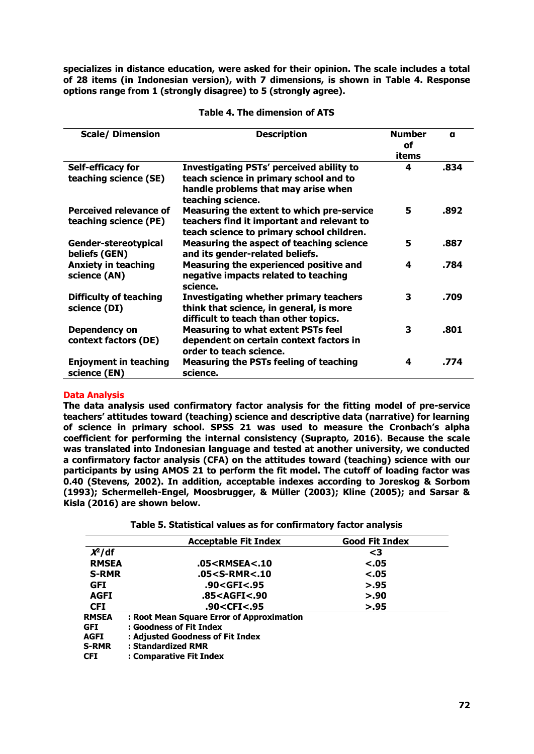**specializes in distance education, were asked for their opinion. The scale includes a total of 28 items (in Indonesian version), with 7 dimensions, is shown in Table 4. Response options range from 1 (strongly disagree) to 5 (strongly agree).**

| <b>Scale/ Dimension</b>                         | <b>Description</b>                                                                                                                                    | <b>Number</b><br><b>of</b><br>items | a    |
|-------------------------------------------------|-------------------------------------------------------------------------------------------------------------------------------------------------------|-------------------------------------|------|
| Self-efficacy for<br>teaching science (SE)      | <b>Investigating PSTs' perceived ability to</b><br>teach science in primary school and to<br>handle problems that may arise when<br>teaching science. | 4                                   | .834 |
| Perceived relevance of<br>teaching science (PE) | Measuring the extent to which pre-service<br>teachers find it important and relevant to<br>teach science to primary school children.                  | 5                                   | .892 |
| Gender-stereotypical<br>beliefs (GEN)           | Measuring the aspect of teaching science<br>and its gender-related beliefs.                                                                           | 5                                   | .887 |
| <b>Anxiety in teaching</b><br>science (AN)      | Measuring the experienced positive and<br>negative impacts related to teaching<br>science.                                                            | 4                                   | .784 |
| <b>Difficulty of teaching</b><br>science (DI)   | <b>Investigating whether primary teachers</b><br>think that science, in general, is more<br>difficult to teach than other topics.                     | 3                                   | .709 |
| Dependency on<br>context factors (DE)           | <b>Measuring to what extent PSTs feel</b><br>dependent on certain context factors in<br>order to teach science.                                       | 3                                   | .801 |
| <b>Enjoyment in teaching</b><br>science (EN)    | <b>Measuring the PSTs feeling of teaching</b><br>science.                                                                                             | 4                                   | .774 |

## **Table 4. The dimension of ATS**

## **Data Analysis**

**The data analysis used confirmatory factor analysis for the fitting model of pre-service teachers' attitudes toward (teaching) science and descriptive data (narrative) for learning of science in primary school. SPSS 21 was used to measure the Cronbach's alpha coefficient for performing the internal consistency (Suprapto, 2016). Because the scale was translated into Indonesian language and tested at another university, we conducted a confirmatory factor analysis (CFA) on the attitudes toward (teaching) science with our participants by using AMOS 21 to perform the fit model. The cutoff of loading factor was 0.40 (Stevens, 2002). In addition, acceptable indexes according to Joreskog & Sorbom (1993); Schermelleh-Engel, Moosbrugger, & Müller (2003); Kline (2005); and Sarsar & Kisla (2016) are shown below.**

**Table 5. Statistical values as for confirmatory factor analysis**

|              | <b>Acceptable Fit Index</b>                                   | <b>Good Fit Index</b> |
|--------------|---------------------------------------------------------------|-----------------------|
| $X^2$ /df    |                                                               | $\leq$ 3              |
| <b>RMSEA</b> | .05 <rmsea<.10< td=""><td><math>-.05</math></td></rmsea<.10<> | $-.05$                |
| <b>S-RMR</b> | .05 <s-rmr<.10< td=""><td><math>-.05</math></td></s-rmr<.10<> | $-.05$                |
| <b>GFI</b>   | .90 <gfi<.95< td=""><td>&gt; 0.95</td></gfi<.95<>             | > 0.95                |
| <b>AGFI</b>  | .85 <agfi<.90< td=""><td>&gt; 0.90</td></agfi<.90<>           | > 0.90                |
| <b>CFI</b>   | .90 <cfi<.95< td=""><td>&gt; 0.95</td></cfi<.95<>             | > 0.95                |
| <b>RMSEA</b> | : Root Mean Square Error of Approximation                     |                       |
| <b>GFI</b>   | : Goodness of Fit Index                                       |                       |
| <b>AGFI</b>  | : Adjusted Goodness of Fit Index                              |                       |
| <b>S-RMR</b> | : Standardized RMR                                            |                       |
| <b>CFI</b>   | : Comparative Fit Index                                       |                       |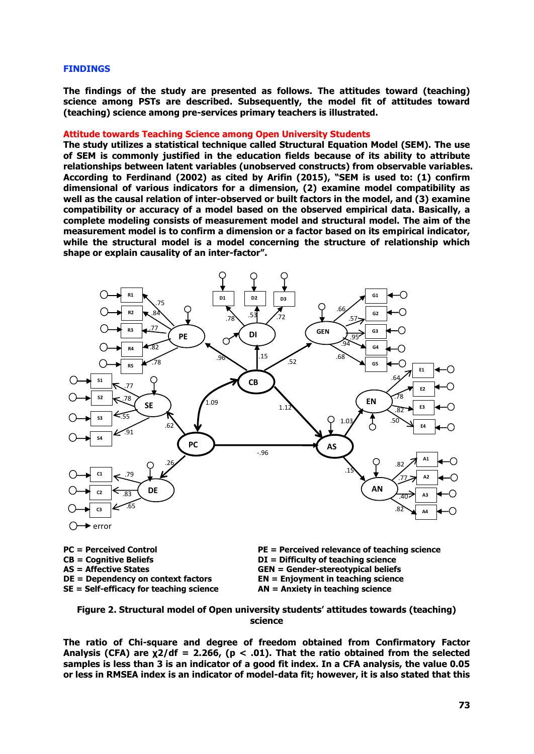#### **FINDINGS**

**The findings of the study are presented as follows. The attitudes toward (teaching) science among PSTs are described. Subsequently, the model fit of attitudes toward (teaching) science among pre-services primary teachers is illustrated.**

#### **Attitude towards Teaching Science among Open University Students**

**The study utilizes a statistical technique called Structural Equation Model (SEM). The use of SEM is commonly justified in the education fields because of its ability to attribute relationships between latent variables (unobserved constructs) from observable variables. According to Ferdinand (2002) as cited by Arifin (2015), "SEM is used to: (1) confirm dimensional of various indicators for a dimension, (2) examine model compatibility as well as the causal relation of inter-observed or built factors in the model, and (3) examine compatibility or accuracy of a model based on the observed empirical data. Basically, a complete modeling consists of measurement model and structural model. The aim of the measurement model is to confirm a dimension or a factor based on its empirical indicator, while the structural model is a model concerning the structure of relationship which shape or explain causality of an inter-factor".**



**CB = Cognitive Beliefs DI = Difficulty of teaching science SE = Self-efficacy for teaching science AN = Anxiety in teaching science** 

**PC = Perceived Control PE = Perceived relevance of teaching science AS = Affective States GEN = Gender-stereotypical beliefs DE = Dependency on context factors EN = Enjoyment in teaching science** 

**Figure 2. Structural model of Open university students' attitudes towards (teaching) science**

**The ratio of Chi-square and degree of freedom obtained from Confirmatory Factor Analysis (CFA) are χ2/df = 2.266, (p < .01). That the ratio obtained from the selected samples is less than 3 is an indicator of a good fit index. In a CFA analysis, the value 0.05 or less in RMSEA index is an indicator of model-data fit; however, it is also stated that this**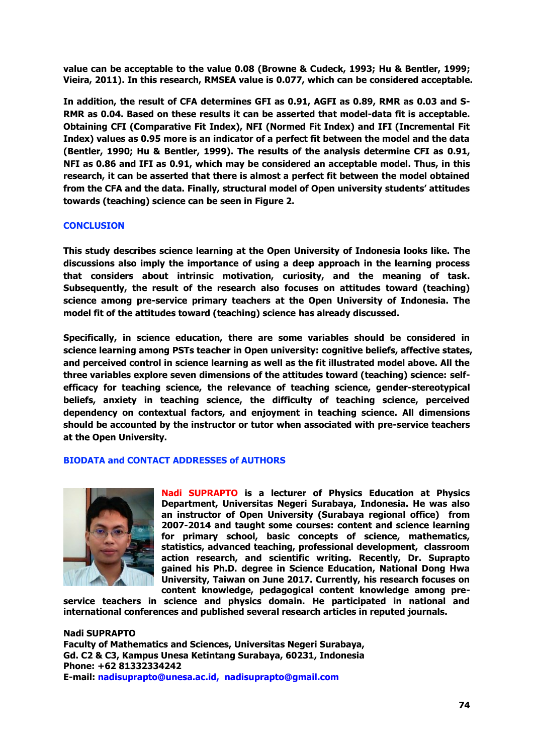**value can be acceptable to the value 0.08 (Browne & Cudeck, 1993; Hu & Bentler, 1999; Vieira, 2011). In this research, RMSEA value is 0.077, which can be considered acceptable.**

**In addition, the result of CFA determines GFI as 0.91, AGFI as 0.89, RMR as 0.03 and S-RMR as 0.04. Based on these results it can be asserted that model-data fit is acceptable. Obtaining CFI (Comparative Fit Index), NFI (Normed Fit Index) and IFI (Incremental Fit Index) values as 0.95 more is an indicator of a perfect fit between the model and the data (Bentler, 1990; Hu & Bentler, 1999). The results of the analysis determine CFI as 0.91, NFI as 0.86 and IFI as 0.91, which may be considered an acceptable model. Thus, in this research, it can be asserted that there is almost a perfect fit between the model obtained from the CFA and the data. Finally, structural model of Open university students' attitudes towards (teaching) science can be seen in Figure 2.**

## **CONCLUSION**

**This study describes science learning at the Open University of Indonesia looks like. The discussions also imply the importance of using a deep approach in the learning process that considers about intrinsic motivation, curiosity, and the meaning of task. Subsequently, the result of the research also focuses on attitudes toward (teaching) science among pre-service primary teachers at the Open University of Indonesia. The model fit of the attitudes toward (teaching) science has already discussed.**

**Specifically, in science education, there are some variables should be considered in science learning among PSTs teacher in Open university: cognitive beliefs, affective states, and perceived control in science learning as well as the fit illustrated model above. All the three variables explore seven dimensions of the attitudes toward (teaching) science: selfefficacy for teaching science, the relevance of teaching science, gender-stereotypical beliefs, anxiety in teaching science, the difficulty of teaching science, perceived dependency on contextual factors, and enjoyment in teaching science. All dimensions should be accounted by the instructor or tutor when associated with pre-service teachers at the Open University.**

## **BIODATA and CONTACT ADDRESSES of AUTHORS**



**Nadi SUPRAPTO is a lecturer of Physics Education at Physics Department, Universitas Negeri Surabaya, Indonesia. He was also an instructor of Open University (Surabaya regional office) from 2007-2014 and taught some courses: content and science learning for primary school, basic concepts of science, mathematics, statistics, advanced teaching, professional development, classroom action research, and scientific writing. Recently, Dr. Suprapto gained his Ph.D. degree in Science Education, National Dong Hwa University, Taiwan on June 2017. Currently, his research focuses on content knowledge, pedagogical content knowledge among pre-**

**service teachers in science and physics domain. He participated in national and international conferences and published several research articles in reputed journals.** 

**Nadi SUPRAPTO Faculty of Mathematics and Sciences, Universitas Negeri Surabaya, Gd. C2 & C3, Kampus Unesa Ketintang Surabaya, 60231, Indonesia Phone: +62 81332334242 E-mail: nadisuprapto@unesa.ac.id, nadisuprapto@gmail.com**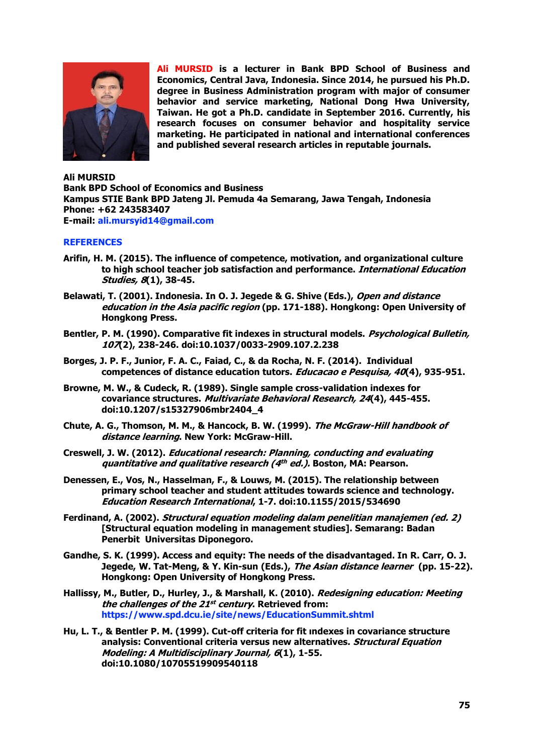

**Ali MURSID is a lecturer in Bank BPD School of Business and Economics, Central Java, Indonesia. Since 2014, he pursued his Ph.D. degree in Business Administration program with major of consumer behavior and service marketing, National Dong Hwa University, Taiwan. He got a Ph.D. candidate in September 2016. Currently, his research focuses on consumer behavior and hospitality service marketing. He participated in national and international conferences and published several research articles in reputable journals.**

**Ali MURSID Bank BPD School of Economics and Business Kampus STIE Bank BPD Jateng Jl. Pemuda 4a Semarang, Jawa Tengah, Indonesia Phone: +62 243583407 E-mail: ali.mursyid14@gmail.com**

## **REFERENCES**

- **Arifin, H. M. (2015). The influence of competence, motivation, and organizational culture to high school teacher job satisfaction and performance. International Education Studies, 8(1), 38-45.**
- **Belawati, T. (2001). Indonesia. In O. J. Jegede & G. Shive (Eds.), Open and distance education in the Asia pacific region (pp. 171-188). Hongkong: Open University of Hongkong Press.**
- **Bentler, P. M. (1990). Comparative fit indexes in structural models. Psychological Bulletin, 107(2), 238-246. doi:10.1037/0033-2909.107.2.238**
- **Borges, J. P. F., Junior, F. A. C., Faiad, C., & da Rocha, N. F. (2014). Individual competences of distance education tutors. Educacao e Pesquisa, 40(4), 935-951.**
- **Browne, M. W., & Cudeck, R. (1989). Single sample cross-validation indexes for covariance structures. Multivariate Behavioral Research, 24(4), 445-455. doi:10.1207/s15327906mbr2404\_4**
- **Chute, A. G., Thomson, M. M., & Hancock, B. W. (1999). The McGraw-Hill handbook of distance learning. New York: McGraw-Hill.**
- **Creswell, J. W. (2012). Educational research: Planning, conducting and evaluating quantitative and qualitative research (4 th ed.). Boston, MA: Pearson.**
- **Denessen, E., Vos, N., Hasselman, F., & Louws, M. (2015). The relationship between primary school teacher and student attitudes towards science and technology. Education Research International, 1-7. doi:10.1155/2015/534690**
- **Ferdinand, A. (2002). Structural equation modeling dalam penelitian manajemen (ed. 2) [Structural equation modeling in management studies]. Semarang: Badan Penerbit Universitas Diponegoro.**
- **Gandhe, S. K. (1999). Access and equity: The needs of the disadvantaged. In R. Carr, O. J. Jegede, W. Tat-Meng, & Y. Kin-sun (Eds.), The Asian distance learner (pp. 15-22). Hongkong: Open University of Hongkong Press.**
- **Hallissy, M., Butler, D., Hurley, J., & Marshall, K. (2010). Redesigning education: Meeting the challenges of the 21 st century. Retrieved from: https://www.spd.dcu.ie/site/news/EducationSummit.shtml**
- **Hu, L. T., & Bentler P. M. (1999). Cut-off criteria for fit ındexes in covariance structure analysis: Conventional criteria versus new alternatives. Structural Equation Modeling: A Multidisciplinary Journal, 6(1), 1-55. doi:10.1080/10705519909540118**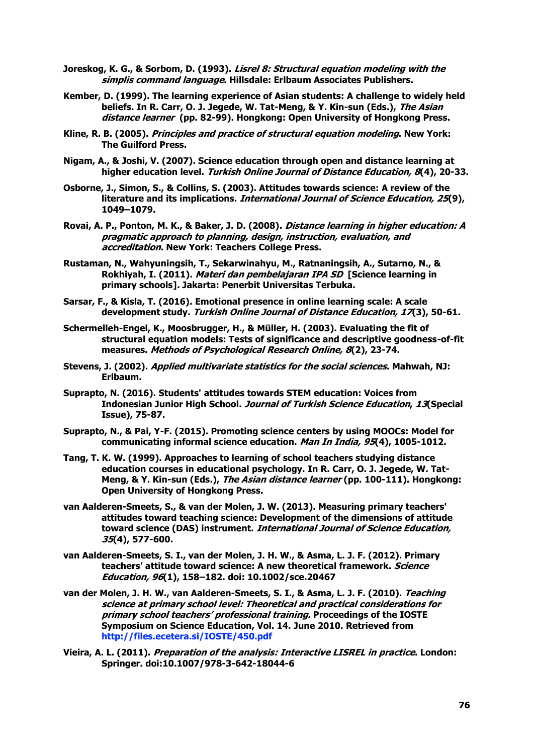- **Joreskog, K. G., & Sorbom, D. (1993). Lisrel 8: Structural equation modeling with the simplis command language. Hillsdale: Erlbaum Associates Publishers.**
- **Kember, D. (1999). The learning experience of Asian students: A challenge to widely held beliefs. In R. Carr, O. J. Jegede, W. Tat-Meng, & Y. Kin-sun (Eds.), The Asian distance learner (pp. 82-99). Hongkong: Open University of Hongkong Press.**
- **Kline, R. B. (2005). Principles and practice of structural equation modeling. New York: The Guilford Press.**
- **Nigam, A., & Joshi, V. (2007). Science education through open and distance learning at higher education level. Turkish Online Journal of Distance Education, 8(4), 20-33.**
- **Osborne, J., Simon, S., & Collins, S. (2003). Attitudes towards science: A review of the literature and its implications. International Journal of Science Education, 25(9), 1049–1079.**
- **Rovai, A. P., Ponton, M. K., & Baker, J. D. (2008). Distance learning in higher education: A pragmatic approach to planning, design, instruction, evaluation, and accreditation. New York: Teachers College Press.**
- **Rustaman, N., Wahyuningsih, T., Sekarwinahyu, M., Ratnaningsih, A., Sutarno, N., & Rokhiyah, I. (2011). Materi dan pembelajaran IPA SD [Science learning in primary schools]. Jakarta: Penerbit Universitas Terbuka.**
- **Sarsar, F., & Kisla, T. (2016). Emotional presence in online learning scale: A scale development study. Turkish Online Journal of Distance Education, 17(3), 50-61.**
- **Schermelleh-Engel, K., Moosbrugger, H., & Müller, H. (2003). Evaluating the fit of structural equation models: Tests of significance and descriptive goodness-of-fit measures. Methods of Psychological Research Online, 8(2), 23-74.**
- **Stevens, J. (2002). Applied multivariate statistics for the social sciences. Mahwah, NJ: Erlbaum.**
- **Suprapto, N. (2016). Students' attitudes towards STEM education: Voices from Indonesian Junior High School. Journal of Turkish Science Education, 13(Special Issue), 75-87.**
- **Suprapto, N., & Pai, Y-F. (2015). Promoting science centers by using MOOCs: Model for communicating informal science education. Man In India, 95(4), 1005-1012.**
- **Tang, T. K. W. (1999). Approaches to learning of school teachers studying distance education courses in educational psychology. In R. Carr, O. J. Jegede, W. Tat-Meng, & Y. Kin-sun (Eds.), The Asian distance learner (pp. 100-111). Hongkong: Open University of Hongkong Press.**
- **van Aalderen-Smeets, S., & van der Molen, J. W. (2013). Measuring primary teachers' attitudes toward teaching science: Development of the dimensions of attitude toward science (DAS) instrument. International Journal of Science Education, 35(4), 577-600.**
- **van Aalderen-Smeets, S. I., van der Molen, J. H. W., & Asma, L. J. F. (2012). Primary teachers' attitude toward science: A new theoretical framework. Science Education, 96(1), 158–182. doi: 10.1002/sce.20467**
- **van der Molen, J. H. W., van Aalderen-Smeets, S. I., & Asma, L. J. F. (2010). Teaching science at primary school level: Theoretical and practical considerations for primary school teachers' professional training. Proceedings of the IOSTE Symposium on Science Education, Vol. 14. June 2010. Retrieved from http://files.ecetera.si/IOSTE/450.pdf**
- **Vieira, A. L. (2011). Preparation of the analysis: Interactive LISREL in practice. London: Springer. doi:10.1007/978-3-642-18044-6**